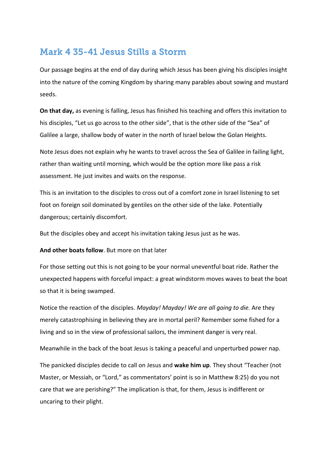# Mark 4 35-41 Jesus Stills a Storm

Our passage begins at the end of day during which Jesus has been giving his disciples insight into the nature of the coming Kingdom by sharing many parables about sowing and mustard seeds.

**On that day,** as evening is falling, Jesus has finished his teaching and offers this invitation to his disciples, "Let us go across to the other side", that is the other side of the "Sea" of Galilee a large, shallow body of water in the north of Israel below the Golan Heights.

Note Jesus does not explain why he wants to travel across the Sea of Galilee in failing light, rather than waiting until morning, which would be the option more like pass a risk assessment. He just invites and waits on the response.

This is an invitation to the disciples to cross out of a comfort zone in Israel listening to set foot on foreign soil dominated by gentiles on the other side of the lake. Potentially dangerous; certainly discomfort.

But the disciples obey and accept his invitation taking Jesus just as he was.

#### **And other boats follow**. But more on that later

For those setting out this is not going to be your normal uneventful boat ride. Rather the unexpected happens with forceful impact: a great windstorm moves waves to beat the boat so that it is being swamped.

Notice the reaction of the disciples. *Mayday! Mayday! We are all going to die.* Are they merely catastrophising in believing they are in mortal peril? Remember some fished for a living and so in the view of professional sailors, the imminent danger is very real.

Meanwhile in the back of the boat Jesus is taking a peaceful and unperturbed power nap.

The panicked disciples decide to call on Jesus and **wake him up**. They shout "Teacher (not Master, or Messiah, or "Lord," as commentators' point is so in Matthew 8:25) do you not care that we are perishing?" The implication is that, for them, Jesus is indifferent or uncaring to their plight.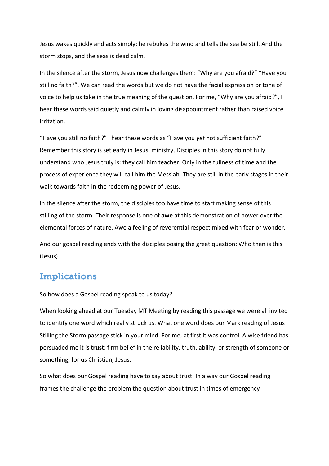Jesus wakes quickly and acts simply: he rebukes the wind and tells the sea be still. And the storm stops, and the seas is dead calm.

In the silence after the storm, Jesus now challenges them: "Why are you afraid?" "Have you still no faith?". We can read the words but we do not have the facial expression or tone of voice to help us take in the true meaning of the question. For me, "Why are you afraid?", I hear these words said quietly and calmly in loving disappointment rather than raised voice irritation.

"Have you still no faith?" I hear these words as "Have you *yet* not sufficient faith?" Remember this story is set early in Jesus' ministry, Disciples in this story do not fully understand who Jesus truly is: they call him teacher. Only in the fullness of time and the process of experience they will call him the Messiah. They are still in the early stages in their walk towards faith in the redeeming power of Jesus.

In the silence after the storm, the disciples too have time to start making sense of this stilling of the storm. Their response is one of **awe** at this demonstration of power over the elemental forces of nature. Awe a feeling of reverential respect mixed with fear or wonder.

And our gospel reading ends with the disciples posing the great question: Who then is this (Jesus)

## Implications

So how does a Gospel reading speak to us today?

When looking ahead at our Tuesday MT Meeting by reading this passage we were all invited to identify one word which really struck us. What one word does our Mark reading of Jesus Stilling the Storm passage stick in your mind. For me, at first it was control. A wise friend has persuaded me it is **trust**: firm belief in the reliability, truth, ability, or strength of someone or something, for us Christian, Jesus.

So what does our Gospel reading have to say about trust. In a way our Gospel reading frames the challenge the problem the question about trust in times of emergency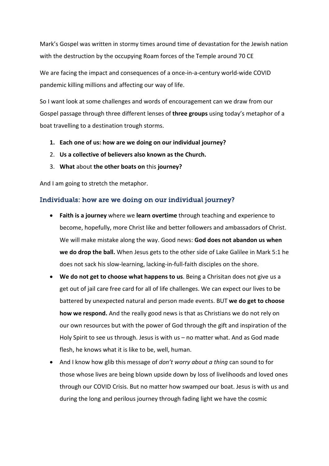Mark's Gospel was written in stormy times around time of devastation for the Jewish nation with the destruction by the occupying Roam forces of the Temple around 70 CE

We are facing the impact and consequences of a once-in-a-century world-wide COVID pandemic killing millions and affecting our way of life.

So I want look at some challenges and words of encouragement can we draw from our Gospel passage through three different lenses of **three groups** using today's metaphor of a boat travelling to a destination trough storms.

- **1. Each one of us: how are we doing on our individual journey?**
- 2. **Us a collective of believers also known as the Church.**
- 3. **What** about **the other boats on** this **journey?**

And I am going to stretch the metaphor.

#### Individuals: how are we doing on our individual journey?

- **Faith is a journey** where we **learn overtime** through teaching and experience to become, hopefully, more Christ like and better followers and ambassadors of Christ. We will make mistake along the way. Good news: **God does not abandon us when we do drop the ball.** When Jesus gets to the other side of Lake Galilee in Mark 5:1 he does not sack his slow-learning, lacking-in-full-faith disciples on the shore.
- **We do not get to choose what happens to us**. Being a Chrisitan does not give us a get out of jail care free card for all of life challenges. We can expect our lives to be battered by unexpected natural and person made events. BUT **we do get to choose how we respond.** And the really good news is that as Christians we do not rely on our own resources but with the power of God through the gift and inspiration of the Holy Spirit to see us through. Jesus is with us – no matter what. And as God made flesh, he knows what it is like to be, well, human.
- And I know how glib this message of *don't worry about a thing* can sound to for those whose lives are being blown upside down by loss of livelihoods and loved ones through our COVID Crisis. But no matter how swamped our boat. Jesus is with us and during the long and perilous journey through fading light we have the cosmic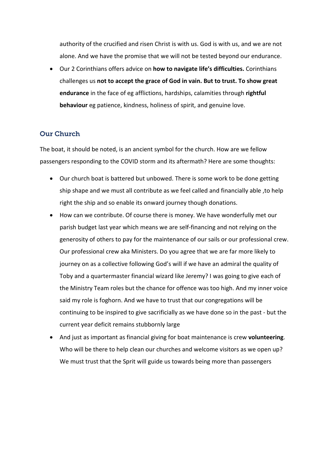authority of the crucified and risen Christ is with us. God is with us, and we are not alone. And we have the promise that we will not be tested beyond our endurance.

• Our 2 Corinthians offers advice on **how to navigate life's difficulties.** Corinthians challenges us **not to accept the grace of God in vain. But to trust. To show great endurance** in the face of eg afflictions, hardships, calamities through **rightful behaviour** eg patience, kindness, holiness of spirit, and genuine love.

### Our Church

The boat, it should be noted, is an ancient symbol for the church. How are we fellow passengers responding to the COVID storm and its aftermath? Here are some thoughts:

- Our church boat is battered but unbowed. There is some work to be done getting ship shape and we must all contribute as we feel called and financially able ,to help right the ship and so enable its onward journey though donations.
- How can we contribute. Of course there is money. We have wonderfully met our parish budget last year which means we are self-financing and not relying on the generosity of others to pay for the maintenance of our sails or our professional crew. Our professional crew aka Ministers. Do you agree that we are far more likely to journey on as a collective following God's will if we have an admiral the quality of Toby and a quartermaster financial wizard like Jeremy? I was going to give each of the Ministry Team roles but the chance for offence was too high. And my inner voice said my role is foghorn. And we have to trust that our congregations will be continuing to be inspired to give sacrificially as we have done so in the past - but the current year deficit remains stubbornly large
- And just as important as financial giving for boat maintenance is crew **volunteering**. Who will be there to help clean our churches and welcome visitors as we open up? We must trust that the Sprit will guide us towards being more than passengers